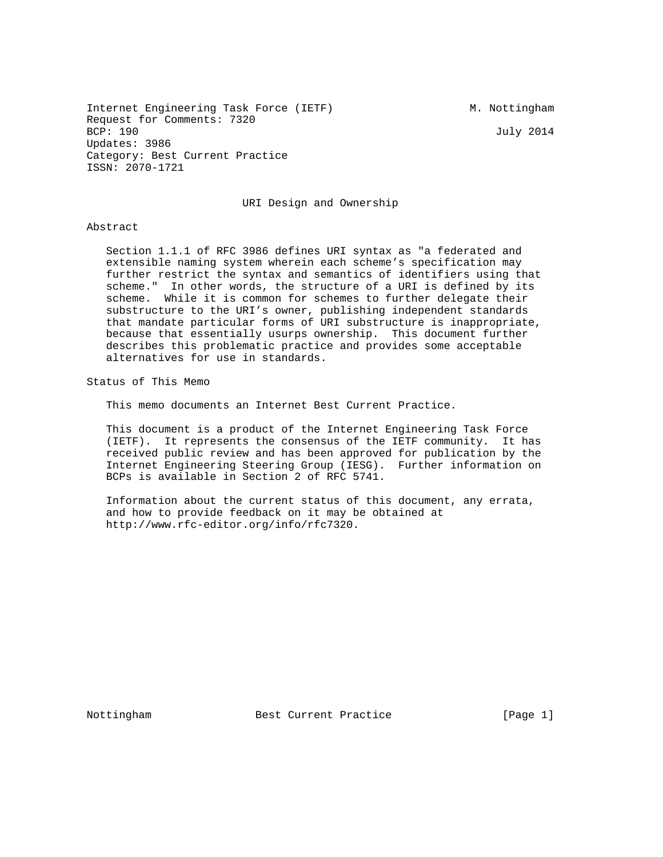July 2014

Internet Engineering Task Force (IETF) M. Nottingham Request for Comments: 7320<br>BCP: 190 Updates: 3986 Category: Best Current Practice ISSN: 2070-1721

URI Design and Ownership

#### Abstract

 Section 1.1.1 of RFC 3986 defines URI syntax as "a federated and extensible naming system wherein each scheme's specification may further restrict the syntax and semantics of identifiers using that scheme." In other words, the structure of a URI is defined by its scheme. While it is common for schemes to further delegate their substructure to the URI's owner, publishing independent standards that mandate particular forms of URI substructure is inappropriate, because that essentially usurps ownership. This document further describes this problematic practice and provides some acceptable alternatives for use in standards.

Status of This Memo

This memo documents an Internet Best Current Practice.

 This document is a product of the Internet Engineering Task Force (IETF). It represents the consensus of the IETF community. It has received public review and has been approved for publication by the Internet Engineering Steering Group (IESG). Further information on BCPs is available in Section 2 of RFC 5741.

 Information about the current status of this document, any errata, and how to provide feedback on it may be obtained at http://www.rfc-editor.org/info/rfc7320.

Nottingham Best Current Practice [Page 1]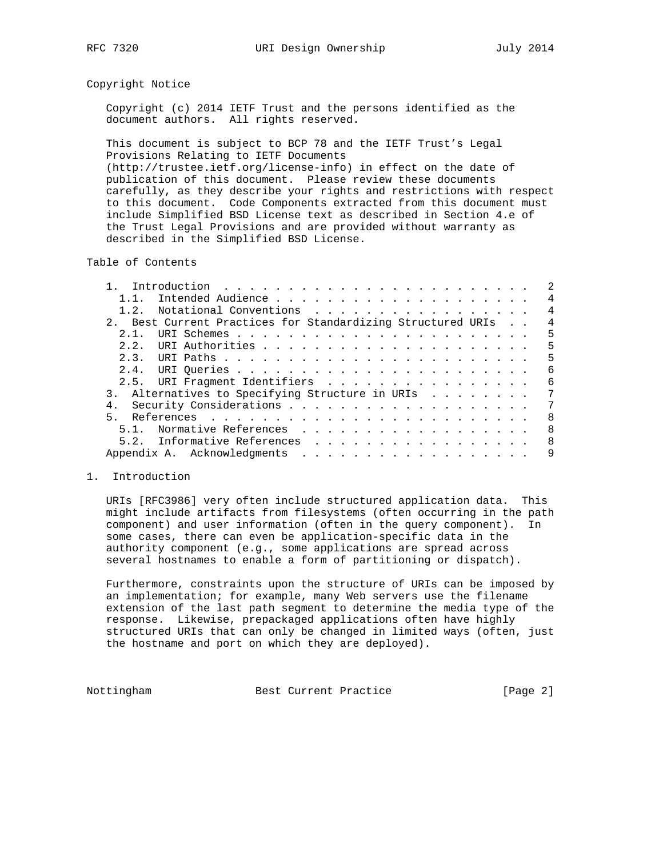#### Copyright Notice

 Copyright (c) 2014 IETF Trust and the persons identified as the document authors. All rights reserved.

 This document is subject to BCP 78 and the IETF Trust's Legal Provisions Relating to IETF Documents (http://trustee.ietf.org/license-info) in effect on the date of publication of this document. Please review these documents carefully, as they describe your rights and restrictions with respect

 to this document. Code Components extracted from this document must include Simplified BSD License text as described in Section 4.e of the Trust Legal Provisions and are provided without warranty as described in the Simplified BSD License.

Table of Contents

| 1 1                                                      | $\overline{4}$ |
|----------------------------------------------------------|----------------|
| Notational Conventions<br>1.2.                           | $\overline{4}$ |
| Best Current Practices for Standardizing Structured URIs | $\overline{4}$ |
| $2 \t1$                                                  | 5              |
|                                                          | 5              |
|                                                          | 5              |
|                                                          | 6              |
| 2.5. URI Fragment Identifiers                            | 6              |
| 3. Alternatives to Specifying Structure in URIs          | 7              |
|                                                          | 7              |
| $5 -$                                                    | 8              |
| 5.1. Normative References                                | 8              |
| 5.2. Informative References                              | 8              |
|                                                          | 9              |
|                                                          |                |

### 1. Introduction

 URIs [RFC3986] very often include structured application data. This might include artifacts from filesystems (often occurring in the path component) and user information (often in the query component). In some cases, there can even be application-specific data in the authority component (e.g., some applications are spread across several hostnames to enable a form of partitioning or dispatch).

 Furthermore, constraints upon the structure of URIs can be imposed by an implementation; for example, many Web servers use the filename extension of the last path segment to determine the media type of the response. Likewise, prepackaged applications often have highly structured URIs that can only be changed in limited ways (often, just the hostname and port on which they are deployed).

Nottingham Best Current Practice [Page 2]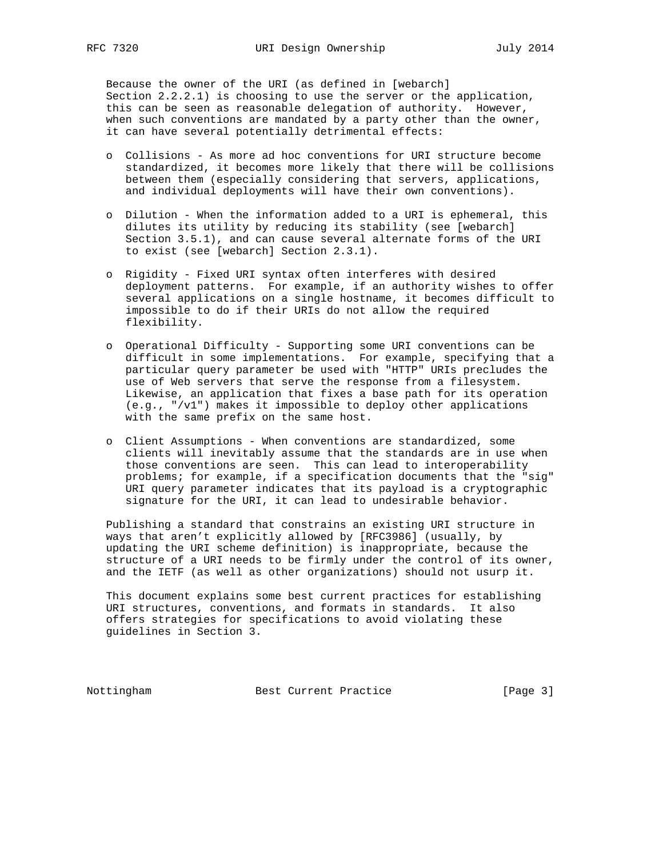Because the owner of the URI (as defined in [webarch] Section 2.2.2.1) is choosing to use the server or the application, this can be seen as reasonable delegation of authority. However, when such conventions are mandated by a party other than the owner, it can have several potentially detrimental effects:

- o Collisions As more ad hoc conventions for URI structure become standardized, it becomes more likely that there will be collisions between them (especially considering that servers, applications, and individual deployments will have their own conventions).
- o Dilution When the information added to a URI is ephemeral, this dilutes its utility by reducing its stability (see [webarch] Section 3.5.1), and can cause several alternate forms of the URI to exist (see [webarch] Section 2.3.1).
- o Rigidity Fixed URI syntax often interferes with desired deployment patterns. For example, if an authority wishes to offer several applications on a single hostname, it becomes difficult to impossible to do if their URIs do not allow the required flexibility.
- o Operational Difficulty Supporting some URI conventions can be difficult in some implementations. For example, specifying that a particular query parameter be used with "HTTP" URIs precludes the use of Web servers that serve the response from a filesystem. Likewise, an application that fixes a base path for its operation (e.g., "/v1") makes it impossible to deploy other applications with the same prefix on the same host.
- o Client Assumptions When conventions are standardized, some clients will inevitably assume that the standards are in use when those conventions are seen. This can lead to interoperability problems; for example, if a specification documents that the "sig" URI query parameter indicates that its payload is a cryptographic signature for the URI, it can lead to undesirable behavior.

 Publishing a standard that constrains an existing URI structure in ways that aren't explicitly allowed by [RFC3986] (usually, by updating the URI scheme definition) is inappropriate, because the structure of a URI needs to be firmly under the control of its owner, and the IETF (as well as other organizations) should not usurp it.

 This document explains some best current practices for establishing URI structures, conventions, and formats in standards. It also offers strategies for specifications to avoid violating these guidelines in Section 3.

Nottingham Best Current Practice [Page 3]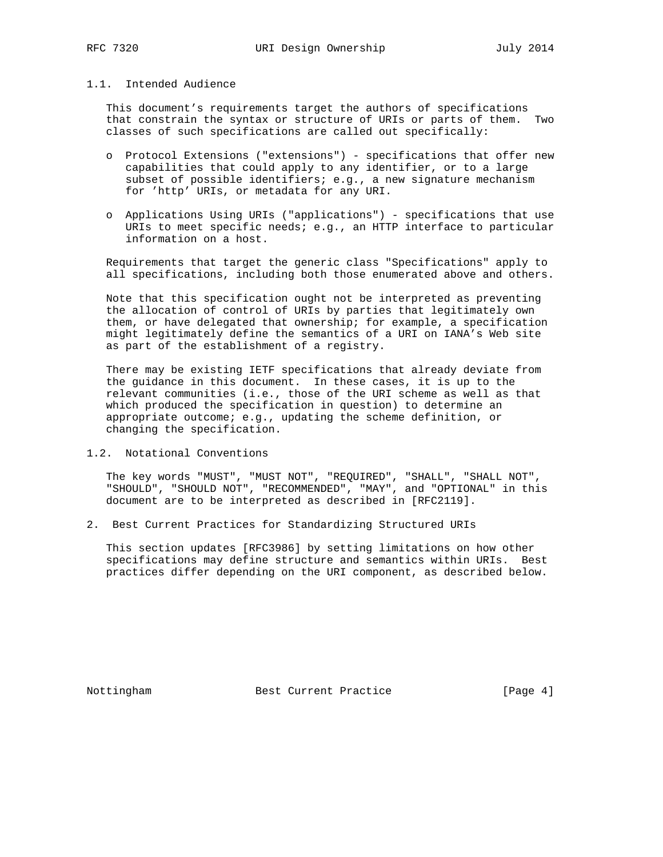## 1.1. Intended Audience

 This document's requirements target the authors of specifications that constrain the syntax or structure of URIs or parts of them. Two classes of such specifications are called out specifically:

- o Protocol Extensions ("extensions") specifications that offer new capabilities that could apply to any identifier, or to a large subset of possible identifiers; e.g., a new signature mechanism for 'http' URIs, or metadata for any URI.
- o Applications Using URIs ("applications") specifications that use URIs to meet specific needs; e.g., an HTTP interface to particular information on a host.

 Requirements that target the generic class "Specifications" apply to all specifications, including both those enumerated above and others.

 Note that this specification ought not be interpreted as preventing the allocation of control of URIs by parties that legitimately own them, or have delegated that ownership; for example, a specification might legitimately define the semantics of a URI on IANA's Web site as part of the establishment of a registry.

 There may be existing IETF specifications that already deviate from the guidance in this document. In these cases, it is up to the relevant communities (i.e., those of the URI scheme as well as that which produced the specification in question) to determine an appropriate outcome; e.g., updating the scheme definition, or changing the specification.

1.2. Notational Conventions

 The key words "MUST", "MUST NOT", "REQUIRED", "SHALL", "SHALL NOT", "SHOULD", "SHOULD NOT", "RECOMMENDED", "MAY", and "OPTIONAL" in this document are to be interpreted as described in [RFC2119].

2. Best Current Practices for Standardizing Structured URIs

 This section updates [RFC3986] by setting limitations on how other specifications may define structure and semantics within URIs. Best practices differ depending on the URI component, as described below.

Nottingham Best Current Practice [Page 4]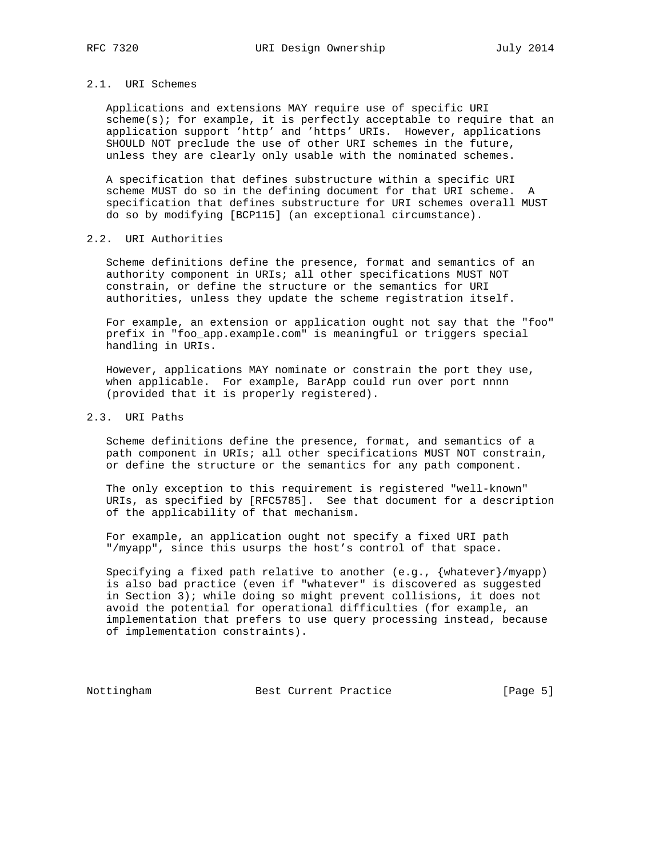### 2.1. URI Schemes

 Applications and extensions MAY require use of specific URI scheme(s); for example, it is perfectly acceptable to require that an application support 'http' and 'https' URIs. However, applications SHOULD NOT preclude the use of other URI schemes in the future, unless they are clearly only usable with the nominated schemes.

 A specification that defines substructure within a specific URI scheme MUST do so in the defining document for that URI scheme. A specification that defines substructure for URI schemes overall MUST do so by modifying [BCP115] (an exceptional circumstance).

#### 2.2. URI Authorities

 Scheme definitions define the presence, format and semantics of an authority component in URIs; all other specifications MUST NOT constrain, or define the structure or the semantics for URI authorities, unless they update the scheme registration itself.

 For example, an extension or application ought not say that the "foo" prefix in "foo\_app.example.com" is meaningful or triggers special handling in URIs.

 However, applications MAY nominate or constrain the port they use, when applicable. For example, BarApp could run over port nnnn (provided that it is properly registered).

# 2.3. URI Paths

 Scheme definitions define the presence, format, and semantics of a path component in URIs; all other specifications MUST NOT constrain, or define the structure or the semantics for any path component.

 The only exception to this requirement is registered "well-known" URIs, as specified by [RFC5785]. See that document for a description of the applicability of that mechanism.

 For example, an application ought not specify a fixed URI path "/myapp", since this usurps the host's control of that space.

Specifying a fixed path relative to another  $(e.g., \{whatever\}/myapp)$  is also bad practice (even if "whatever" is discovered as suggested in Section 3); while doing so might prevent collisions, it does not avoid the potential for operational difficulties (for example, an implementation that prefers to use query processing instead, because of implementation constraints).

Nottingham Best Current Practice [Page 5]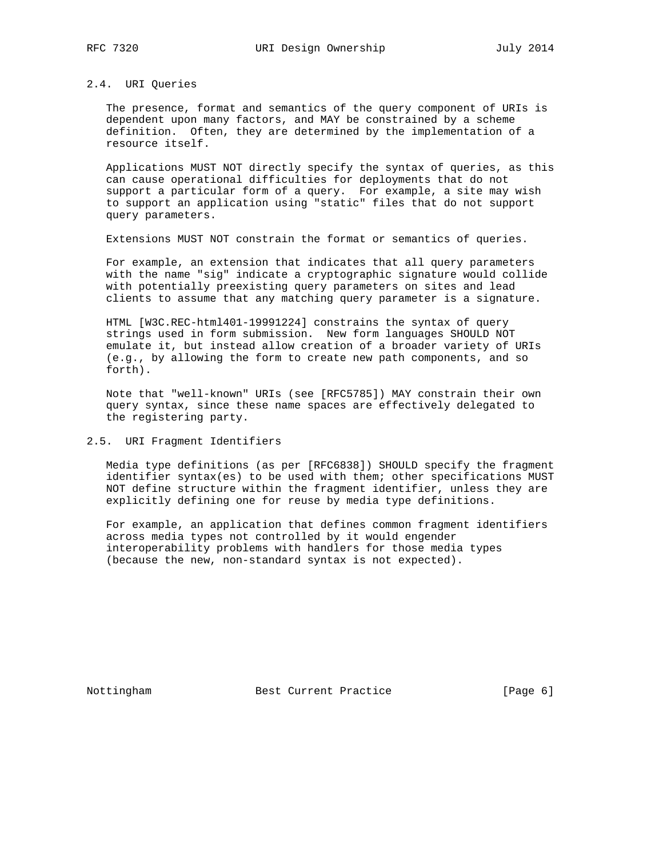## 2.4. URI Queries

 The presence, format and semantics of the query component of URIs is dependent upon many factors, and MAY be constrained by a scheme definition. Often, they are determined by the implementation of a resource itself.

 Applications MUST NOT directly specify the syntax of queries, as this can cause operational difficulties for deployments that do not support a particular form of a query. For example, a site may wish to support an application using "static" files that do not support query parameters.

Extensions MUST NOT constrain the format or semantics of queries.

 For example, an extension that indicates that all query parameters with the name "sig" indicate a cryptographic signature would collide with potentially preexisting query parameters on sites and lead clients to assume that any matching query parameter is a signature.

 HTML [W3C.REC-html401-19991224] constrains the syntax of query strings used in form submission. New form languages SHOULD NOT emulate it, but instead allow creation of a broader variety of URIs (e.g., by allowing the form to create new path components, and so forth).

 Note that "well-known" URIs (see [RFC5785]) MAY constrain their own query syntax, since these name spaces are effectively delegated to the registering party.

## 2.5. URI Fragment Identifiers

 Media type definitions (as per [RFC6838]) SHOULD specify the fragment identifier syntax(es) to be used with them; other specifications MUST NOT define structure within the fragment identifier, unless they are explicitly defining one for reuse by media type definitions.

 For example, an application that defines common fragment identifiers across media types not controlled by it would engender interoperability problems with handlers for those media types (because the new, non-standard syntax is not expected).

Nottingham Best Current Practice [Page 6]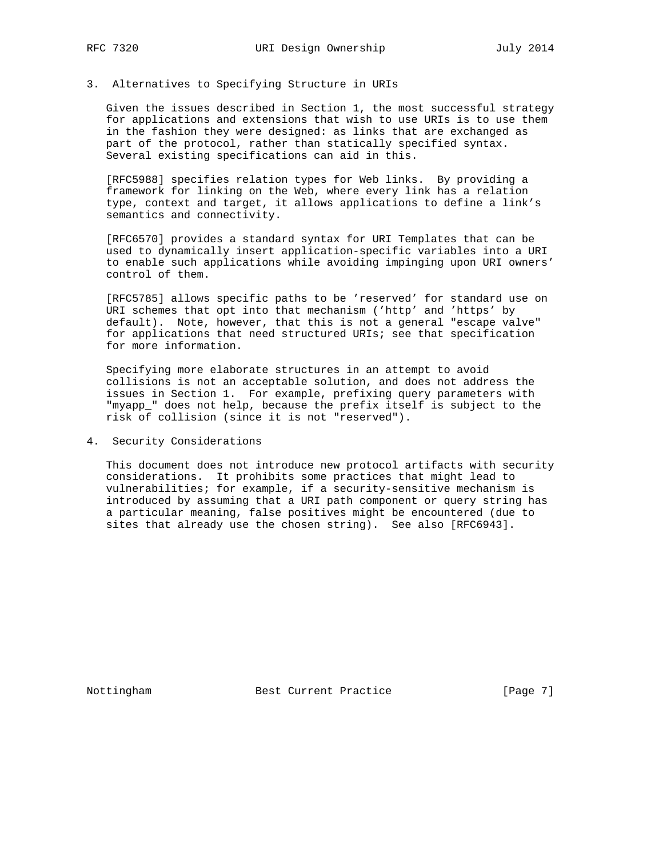### 3. Alternatives to Specifying Structure in URIs

 Given the issues described in Section 1, the most successful strategy for applications and extensions that wish to use URIs is to use them in the fashion they were designed: as links that are exchanged as part of the protocol, rather than statically specified syntax. Several existing specifications can aid in this.

 [RFC5988] specifies relation types for Web links. By providing a framework for linking on the Web, where every link has a relation type, context and target, it allows applications to define a link's semantics and connectivity.

 [RFC6570] provides a standard syntax for URI Templates that can be used to dynamically insert application-specific variables into a URI to enable such applications while avoiding impinging upon URI owners' control of them.

 [RFC5785] allows specific paths to be 'reserved' for standard use on URI schemes that opt into that mechanism ('http' and 'https' by default). Note, however, that this is not a general "escape valve" for applications that need structured URIs; see that specification for more information.

 Specifying more elaborate structures in an attempt to avoid collisions is not an acceptable solution, and does not address the issues in Section 1. For example, prefixing query parameters with "myapp\_" does not help, because the prefix itself is subject to the risk of collision (since it is not "reserved").

4. Security Considerations

 This document does not introduce new protocol artifacts with security considerations. It prohibits some practices that might lead to vulnerabilities; for example, if a security-sensitive mechanism is introduced by assuming that a URI path component or query string has a particular meaning, false positives might be encountered (due to sites that already use the chosen string). See also [RFC6943].

Nottingham Best Current Practice [Page 7]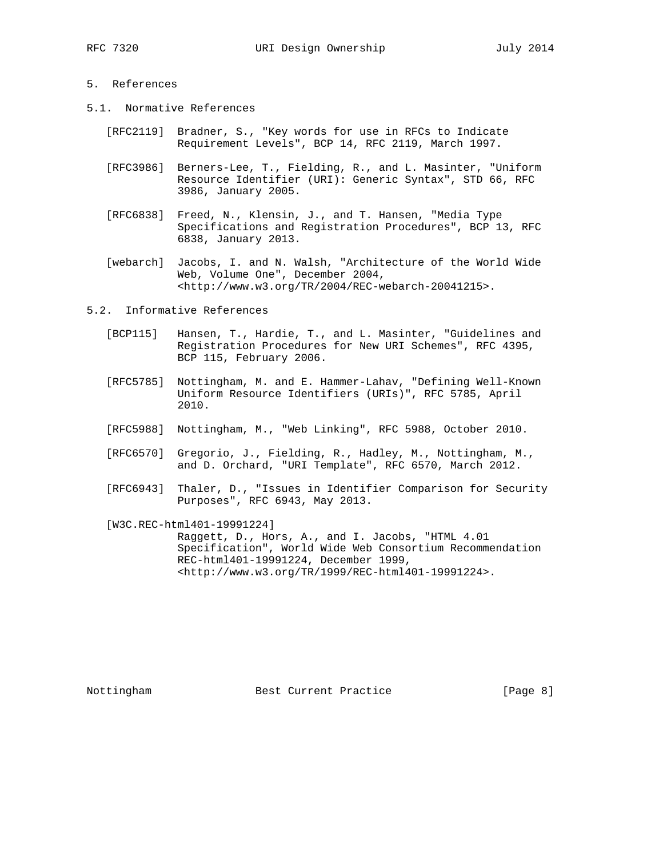- 5.1. Normative References
	- [RFC2119] Bradner, S., "Key words for use in RFCs to Indicate Requirement Levels", BCP 14, RFC 2119, March 1997.
	- [RFC3986] Berners-Lee, T., Fielding, R., and L. Masinter, "Uniform Resource Identifier (URI): Generic Syntax", STD 66, RFC 3986, January 2005.
	- [RFC6838] Freed, N., Klensin, J., and T. Hansen, "Media Type Specifications and Registration Procedures", BCP 13, RFC 6838, January 2013.
	- [webarch] Jacobs, I. and N. Walsh, "Architecture of the World Wide Web, Volume One", December 2004, <http://www.w3.org/TR/2004/REC-webarch-20041215>.
- 5.2. Informative References
	- [BCP115] Hansen, T., Hardie, T., and L. Masinter, "Guidelines and Registration Procedures for New URI Schemes", RFC 4395, BCP 115, February 2006.
	- [RFC5785] Nottingham, M. and E. Hammer-Lahav, "Defining Well-Known Uniform Resource Identifiers (URIs)", RFC 5785, April 2010.
	- [RFC5988] Nottingham, M., "Web Linking", RFC 5988, October 2010.
	- [RFC6570] Gregorio, J., Fielding, R., Hadley, M., Nottingham, M., and D. Orchard, "URI Template", RFC 6570, March 2012.
	- [RFC6943] Thaler, D., "Issues in Identifier Comparison for Security Purposes", RFC 6943, May 2013.
	- [W3C.REC-html401-19991224] Raggett, D., Hors, A., and I. Jacobs, "HTML 4.01 Specification", World Wide Web Consortium Recommendation REC-html401-19991224, December 1999, <http://www.w3.org/TR/1999/REC-html401-19991224>.

Nottingham Best Current Practice [Page 8]